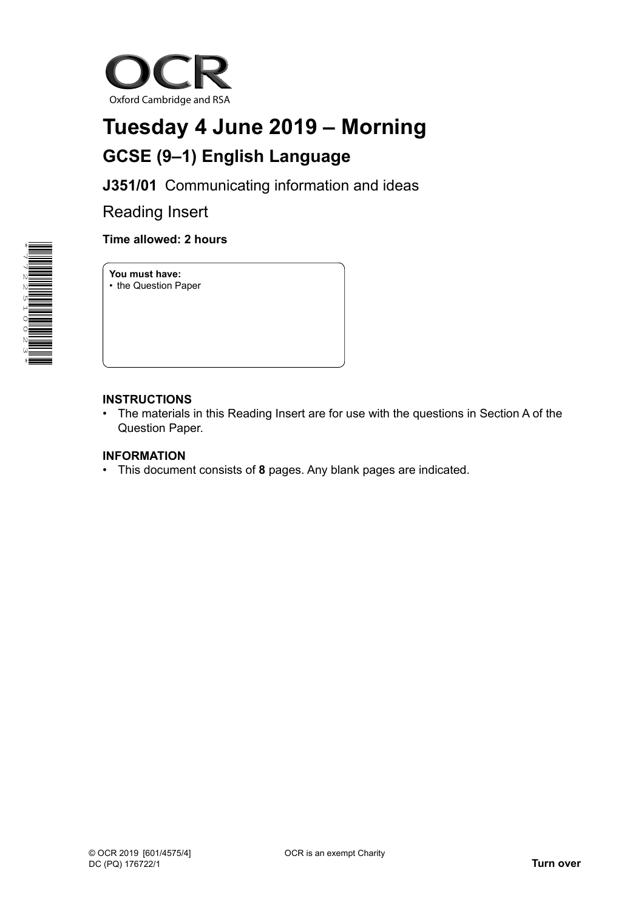

# **Tuesday 4 June 2019 – Morning GCSE (9–1) English Language**

**J351/01** Communicating information and ideas

Reading Insert



## **Time allowed: 2 hours**

**You must have:** • the Question Paper

### **INSTRUCTIONS**

• The materials in this Reading Insert are for use with the questions in Section A of the Question Paper.

### **INFORMATION**

• This document consists of **8** pages. Any blank pages are indicated.